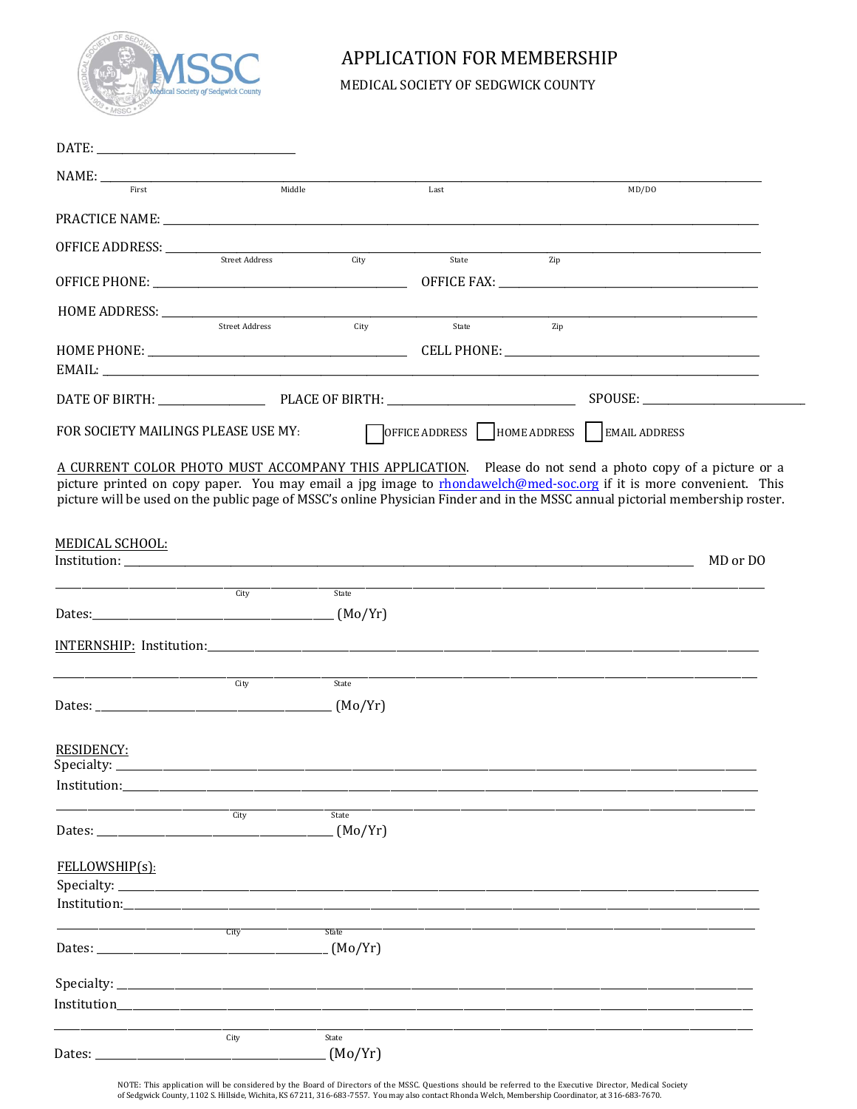

## APPLICATION FOR MEMBERSHIP

MEDICAL SOCIETY OF SEDGWICK COUNTY

| First                               | Middle                |                         | Last           | MD/DO                                                                                                                                                                                                                                                                                                                                                           |          |
|-------------------------------------|-----------------------|-------------------------|----------------|-----------------------------------------------------------------------------------------------------------------------------------------------------------------------------------------------------------------------------------------------------------------------------------------------------------------------------------------------------------------|----------|
|                                     |                       |                         |                |                                                                                                                                                                                                                                                                                                                                                                 |          |
|                                     |                       |                         | City State Zip |                                                                                                                                                                                                                                                                                                                                                                 |          |
|                                     |                       |                         |                |                                                                                                                                                                                                                                                                                                                                                                 |          |
| HOME ADDRESS: ______________        | <b>Street Address</b> | City                    | State          | Zip                                                                                                                                                                                                                                                                                                                                                             |          |
|                                     |                       |                         |                |                                                                                                                                                                                                                                                                                                                                                                 |          |
|                                     |                       |                         |                |                                                                                                                                                                                                                                                                                                                                                                 |          |
| FOR SOCIETY MAILINGS PLEASE USE MY: |                       |                         |                | OFFICE ADDRESS   HOME ADDRESS   EMAIL ADDRESS                                                                                                                                                                                                                                                                                                                   |          |
|                                     |                       |                         |                | A CURRENT COLOR PHOTO MUST ACCOMPANY THIS APPLICATION. Please do not send a photo copy of a picture or a<br>picture printed on copy paper. You may email a jpg image to rhondawelch@med-soc.org if it is more convenient. This<br>picture will be used on the public page of MSSC's online Physician Finder and in the MSSC annual pictorial membership roster. |          |
| MEDICAL SCHOOL:                     |                       |                         |                |                                                                                                                                                                                                                                                                                                                                                                 | MD or DO |
|                                     | City                  | State                   |                | <u> 1989 - Johann Stoff, deutscher Stoff, der Stoff, der Stoff, der Stoff, der Stoff, der Stoff, der Stoff, der S</u>                                                                                                                                                                                                                                           |          |
|                                     |                       |                         |                |                                                                                                                                                                                                                                                                                                                                                                 |          |
|                                     |                       |                         |                |                                                                                                                                                                                                                                                                                                                                                                 |          |
|                                     | City                  | State                   |                |                                                                                                                                                                                                                                                                                                                                                                 |          |
| <b>RESIDENCY:</b><br>Specialty:     |                       |                         |                |                                                                                                                                                                                                                                                                                                                                                                 |          |
|                                     |                       |                         |                |                                                                                                                                                                                                                                                                                                                                                                 |          |
|                                     | City                  | State<br>(Mo/Yr)        |                |                                                                                                                                                                                                                                                                                                                                                                 |          |
| FELLOWSHIP(s):                      |                       |                         |                |                                                                                                                                                                                                                                                                                                                                                                 |          |
| Institution:______________          |                       |                         |                |                                                                                                                                                                                                                                                                                                                                                                 |          |
|                                     | City                  | <b>State</b><br>(Mo/Yr) |                |                                                                                                                                                                                                                                                                                                                                                                 |          |
|                                     |                       |                         |                |                                                                                                                                                                                                                                                                                                                                                                 |          |
| Institution_                        |                       |                         |                |                                                                                                                                                                                                                                                                                                                                                                 |          |
|                                     | City                  | State<br>(Mo/Yr)        |                |                                                                                                                                                                                                                                                                                                                                                                 |          |